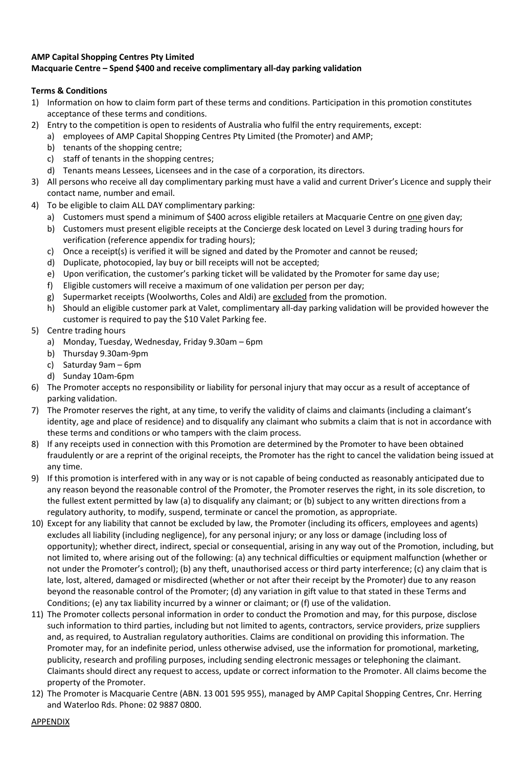## **AMP Capital Shopping Centres Pty Limited Macquarie Centre – Spend \$400 and receive complimentary all-day parking validation**

## **Terms & Conditions**

- 1) Information on how to claim form part of these terms and conditions. Participation in this promotion constitutes acceptance of these terms and conditions.
- 2) Entry to the competition is open to residents of Australia who fulfil the entry requirements, except:
	- a) employees of AMP Capital Shopping Centres Pty Limited (the Promoter) and AMP;
		- b) tenants of the shopping centre;
		- c) staff of tenants in the shopping centres;
	- d) Tenants means Lessees, Licensees and in the case of a corporation, its directors.
- 3) All persons who receive all day complimentary parking must have a valid and current Driver's Licence and supply their contact name, number and email.
- 4) To be eligible to claim ALL DAY complimentary parking:
	- a) Customers must spend a minimum of \$400 across eligible retailers at Macquarie Centre on one given day;
		- b) Customers must present eligible receipts at the Concierge desk located on Level 3 during trading hours for verification (reference appendix for trading hours);
		- c) Once a receipt(s) is verified it will be signed and dated by the Promoter and cannot be reused;
		- d) Duplicate, photocopied, lay buy or bill receipts will not be accepted;
		- e) Upon verification, the customer's parking ticket will be validated by the Promoter for same day use;
		- f) Eligible customers will receive a maximum of one validation per person per day;
		- g) Supermarket receipts (Woolworths, Coles and Aldi) are excluded from the promotion.
		- h) Should an eligible customer park at Valet, complimentary all-day parking validation will be provided however the customer is required to pay the \$10 Valet Parking fee.
- 5) Centre trading hours
	- a) Monday, Tuesday, Wednesday, Friday 9.30am 6pm
	- b) Thursday 9.30am-9pm
	- c) Saturday 9am 6pm
	- d) Sunday 10am-6pm
- 6) The Promoter accepts no responsibility or liability for personal injury that may occur as a result of acceptance of parking validation.
- 7) The Promoter reserves the right, at any time, to verify the validity of claims and claimants (including a claimant's identity, age and place of residence) and to disqualify any claimant who submits a claim that is not in accordance with these terms and conditions or who tampers with the claim process.
- 8) If any receipts used in connection with this Promotion are determined by the Promoter to have been obtained fraudulently or are a reprint of the original receipts, the Promoter has the right to cancel the validation being issued at any time.
- 9) If this promotion is interfered with in any way or is not capable of being conducted as reasonably anticipated due to any reason beyond the reasonable control of the Promoter, the Promoter reserves the right, in its sole discretion, to the fullest extent permitted by law (a) to disqualify any claimant; or (b) subject to any written directions from a regulatory authority, to modify, suspend, terminate or cancel the promotion, as appropriate.
- 10) Except for any liability that cannot be excluded by law, the Promoter (including its officers, employees and agents) excludes all liability (including negligence), for any personal injury; or any loss or damage (including loss of opportunity); whether direct, indirect, special or consequential, arising in any way out of the Promotion, including, but not limited to, where arising out of the following: (a) any technical difficulties or equipment malfunction (whether or not under the Promoter's control); (b) any theft, unauthorised access or third party interference; (c) any claim that is late, lost, altered, damaged or misdirected (whether or not after their receipt by the Promoter) due to any reason beyond the reasonable control of the Promoter; (d) any variation in gift value to that stated in these Terms and Conditions; (e) any tax liability incurred by a winner or claimant; or (f) use of the validation.
- 11) The Promoter collects personal information in order to conduct the Promotion and may, for this purpose, disclose such information to third parties, including but not limited to agents, contractors, service providers, prize suppliers and, as required, to Australian regulatory authorities. Claims are conditional on providing this information. The Promoter may, for an indefinite period, unless otherwise advised, use the information for promotional, marketing, publicity, research and profiling purposes, including sending electronic messages or telephoning the claimant. Claimants should direct any request to access, update or correct information to the Promoter. All claims become the property of the Promoter.
- 12) The Promoter is Macquarie Centre (ABN. 13 001 595 955), managed by AMP Capital Shopping Centres, Cnr. Herring and Waterloo Rds. Phone: 02 9887 0800.

APPENDIX